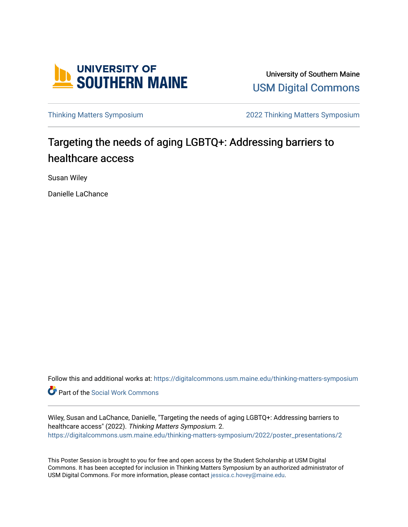

University of Southern Maine [USM Digital Commons](https://digitalcommons.usm.maine.edu/) 

[Thinking Matters Symposium](https://digitalcommons.usm.maine.edu/thinking-matters-symposium) [2022 Thinking Matters Symposium](https://digitalcommons.usm.maine.edu/thinking-matters-symposium/2022) 

### Targeting the needs of aging LGBTQ+: Addressing barriers to healthcare access

Susan Wiley

Danielle LaChance

Follow this and additional works at: [https://digitalcommons.usm.maine.edu/thinking-matters-symposium](https://digitalcommons.usm.maine.edu/thinking-matters-symposium?utm_source=digitalcommons.usm.maine.edu%2Fthinking-matters-symposium%2F2022%2Fposter_presentations%2F2&utm_medium=PDF&utm_campaign=PDFCoverPages) 

Part of the [Social Work Commons](http://network.bepress.com/hgg/discipline/713?utm_source=digitalcommons.usm.maine.edu%2Fthinking-matters-symposium%2F2022%2Fposter_presentations%2F2&utm_medium=PDF&utm_campaign=PDFCoverPages)

Wiley, Susan and LaChance, Danielle, "Targeting the needs of aging LGBTQ+: Addressing barriers to healthcare access" (2022). Thinking Matters Symposium. 2. [https://digitalcommons.usm.maine.edu/thinking-matters-symposium/2022/poster\\_presentations/2](https://digitalcommons.usm.maine.edu/thinking-matters-symposium/2022/poster_presentations/2?utm_source=digitalcommons.usm.maine.edu%2Fthinking-matters-symposium%2F2022%2Fposter_presentations%2F2&utm_medium=PDF&utm_campaign=PDFCoverPages)

This Poster Session is brought to you for free and open access by the Student Scholarship at USM Digital Commons. It has been accepted for inclusion in Thinking Matters Symposium by an authorized administrator of USM Digital Commons. For more information, please contact [jessica.c.hovey@maine.edu](mailto:ian.fowler@maine.edu).